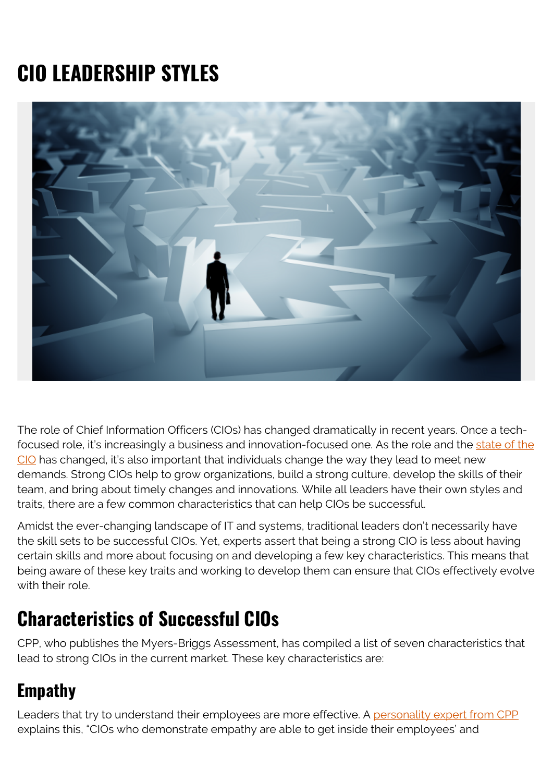# **CIO LEADERSHIP STYLES**



The role of Chief Information Officers (CIOs) has changed dramatically in recent years. Once a techfocused role, it's increasingly a business and innovation-focused one. As the role and the [state of the](https://blogs.bmc.com/blogs/state-of-cio/) [CIO](https://blogs.bmc.com/blogs/state-of-cio/) has changed, it's also important that individuals change the way they lead to meet new demands. Strong CIOs help to grow organizations, build a strong culture, develop the skills of their team, and bring about timely changes and innovations. While all leaders have their own styles and traits, there are a few common characteristics that can help CIOs be successful.

Amidst the ever-changing landscape of IT and systems, traditional leaders don't necessarily have the skill sets to be successful CIOs. Yet, experts assert that being a strong CIO is less about having certain skills and more about focusing on and developing a few key characteristics. This means that being aware of these key traits and working to develop them can ensure that CIOs effectively evolve with their role.

### **Characteristics of Successful CIOs**

CPP, who publishes the Myers-Briggs Assessment, has compiled a list of seven characteristics that lead to strong CIOs in the current market. These key characteristics are:

#### **Empathy**

Leaders that try to understand their employees are more effective. A [personality expert from CPP](https://www.idginsiderpro.com/article/3165678/7-leadership-traits-of-successful-cios.html#slide1) explains this, "CIOs who demonstrate empathy are able to get inside their employees' and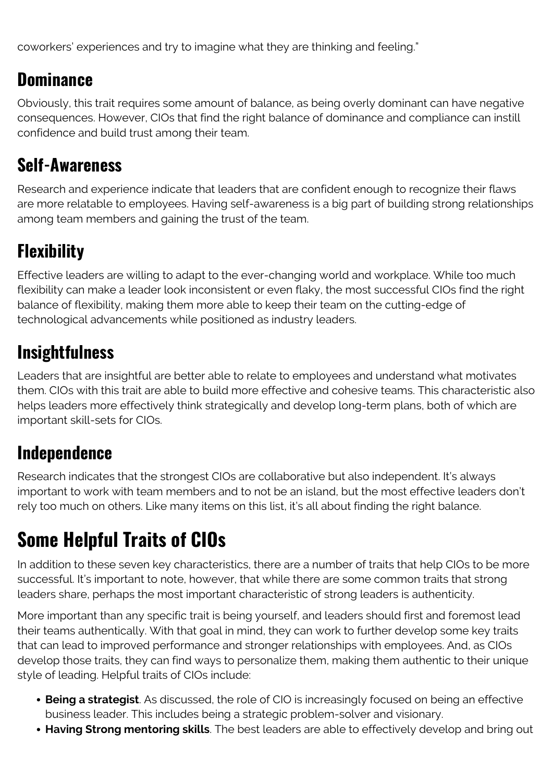coworkers' experiences and try to imagine what they are thinking and feeling."

#### **Dominance**

Obviously, this trait requires some amount of balance, as being overly dominant can have negative consequences. However, CIOs that find the right balance of dominance and compliance can instill confidence and build trust among their team.

### **Self-Awareness**

Research and experience indicate that leaders that are confident enough to recognize their flaws are more relatable to employees. Having self-awareness is a big part of building strong relationships among team members and gaining the trust of the team.

## **Flexibility**

Effective leaders are willing to adapt to the ever-changing world and workplace. While too much flexibility can make a leader look inconsistent or even flaky, the most successful CIOs find the right balance of flexibility, making them more able to keep their team on the cutting-edge of technological advancements while positioned as industry leaders.

## **Insightfulness**

Leaders that are insightful are better able to relate to employees and understand what motivates them. CIOs with this trait are able to build more effective and cohesive teams. This characteristic also helps leaders more effectively think strategically and develop long-term plans, both of which are important skill-sets for CIOs.

### **Independence**

Research indicates that the strongest CIOs are collaborative but also independent. It's always important to work with team members and to not be an island, but the most effective leaders don't rely too much on others. Like many items on this list, it's all about finding the right balance.

## **Some Helpful Traits of CIOs**

In addition to these seven key characteristics, there are a number of traits that help CIOs to be more successful. It's important to note, however, that while there are some common traits that strong leaders share, perhaps the most important characteristic of strong leaders is authenticity.

More important than any specific trait is being yourself, and leaders should first and foremost lead their teams authentically. With that goal in mind, they can work to further develop some key traits that can lead to improved performance and stronger relationships with employees. And, as CIOs develop those traits, they can find ways to personalize them, making them authentic to their unique style of leading. Helpful traits of CIOs include:

- **Being a strategist**. As discussed, the role of CIO is increasingly focused on being an effective business leader. This includes being a strategic problem-solver and visionary.
- **Having Strong mentoring skills**. The best leaders are able to effectively develop and bring out